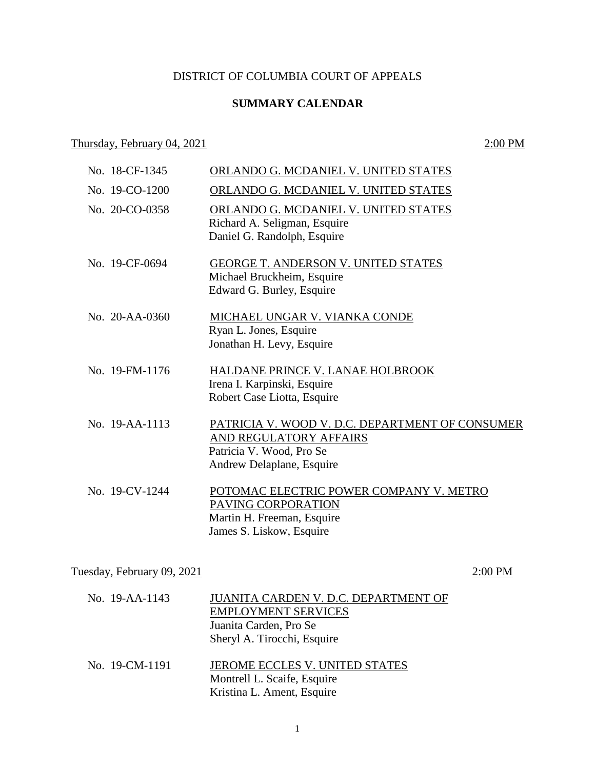## DISTRICT OF COLUMBIA COURT OF APPEALS

## **SUMMARY CALENDAR**

## Thursday, February  $04, 2021$  2:00 PM

| No. 18-CF-1345 | ORLANDO G. MCDANIEL V. UNITED STATES                                                                                               |
|----------------|------------------------------------------------------------------------------------------------------------------------------------|
| No. 19-CO-1200 | ORLANDO G. MCDANIEL V. UNITED STATES                                                                                               |
| No. 20-CO-0358 | ORLANDO G. MCDANIEL V. UNITED STATES<br>Richard A. Seligman, Esquire<br>Daniel G. Randolph, Esquire                                |
| No. 19-CF-0694 | <b>GEORGE T. ANDERSON V. UNITED STATES</b><br>Michael Bruckheim, Esquire<br>Edward G. Burley, Esquire                              |
| No. 20-AA-0360 | MICHAEL UNGAR V. VIANKA CONDE<br>Ryan L. Jones, Esquire<br>Jonathan H. Levy, Esquire                                               |
| No. 19-FM-1176 | HALDANE PRINCE V. LANAE HOLBROOK<br>Irena I. Karpinski, Esquire<br>Robert Case Liotta, Esquire                                     |
| No. 19-AA-1113 | PATRICIA V. WOOD V. D.C. DEPARTMENT OF CONSUMER<br>AND REGULATORY AFFAIRS<br>Patricia V. Wood, Pro Se<br>Andrew Delaplane, Esquire |
| No. 19-CV-1244 | POTOMAC ELECTRIC POWER COMPANY V. METRO<br>PAVING CORPORATION<br>Martin H. Freeman, Esquire<br>James S. Liskow, Esquire            |

Tuesday, February 09, 2021 2:00 PM

| No. 19-AA-1143 | JUANITA CARDEN V. D.C. DEPARTMENT OF |
|----------------|--------------------------------------|
|                | <b>EMPLOYMENT SERVICES</b>           |
|                | Juanita Carden, Pro Se               |
|                | Sheryl A. Tirocchi, Esquire          |
|                |                                      |
| No. 19-CM-1191 | JEROME ECCLES V. UNITED STATES       |
|                | Montrell L. Scaife, Esquire          |
|                | Kristina L. Ament, Esquire           |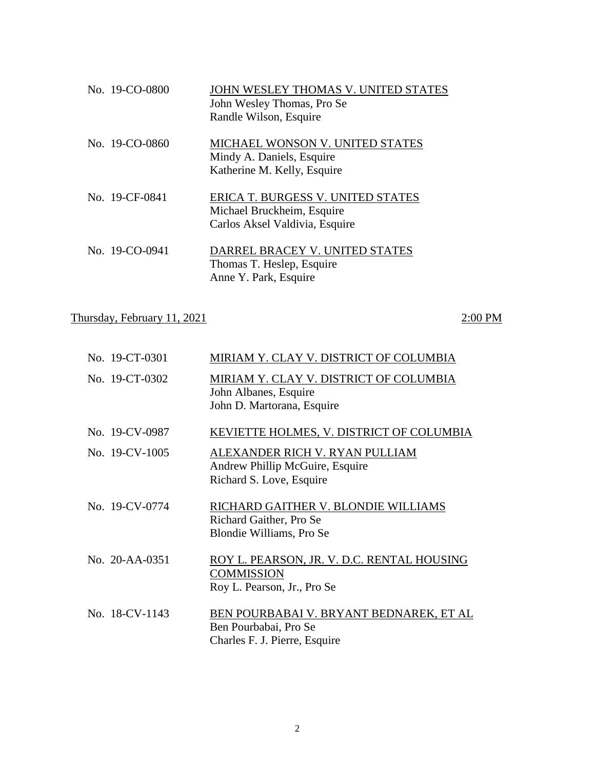| No. 19-CO-0800 | JOHN WESLEY THOMAS V. UNITED STATES<br>John Wesley Thomas, Pro Se<br>Randle Wilson, Esquire        |
|----------------|----------------------------------------------------------------------------------------------------|
| No. 19-CO-0860 | <b>MICHAEL WONSON V. UNITED STATES</b><br>Mindy A. Daniels, Esquire<br>Katherine M. Kelly, Esquire |
| No. 19-CF-0841 | ERICA T. BURGESS V. UNITED STATES<br>Michael Bruckheim, Esquire<br>Carlos Aksel Valdivia, Esquire  |
| No. 19-CO-0941 | DARREL BRACEY V. UNITED STATES<br>Thomas T. Heslep, Esquire<br>Anne Y. Park, Esquire               |

# Thursday, February 11, 2021 2:00 PM

| No. 19-CT-0301 | MIRIAM Y. CLAY V. DISTRICT OF COLUMBIA                                                            |
|----------------|---------------------------------------------------------------------------------------------------|
| No. 19-CT-0302 | MIRIAM Y. CLAY V. DISTRICT OF COLUMBIA<br>John Albanes, Esquire<br>John D. Martorana, Esquire     |
| No. 19-CV-0987 | KEVIETTE HOLMES, V. DISTRICT OF COLUMBIA                                                          |
| No. 19-CV-1005 | ALEXANDER RICH V. RYAN PULLIAM<br>Andrew Phillip McGuire, Esquire<br>Richard S. Love, Esquire     |
| No. 19-CV-0774 | RICHARD GAITHER V. BLONDIE WILLIAMS<br>Richard Gaither, Pro Se<br>Blondie Williams, Pro Se        |
| No. 20-AA-0351 | ROY L. PEARSON, JR. V. D.C. RENTAL HOUSING<br><b>COMMISSION</b><br>Roy L. Pearson, Jr., Pro Se    |
| No. 18-CV-1143 | BEN POURBABAI V. BRYANT BEDNAREK, ET AL<br>Ben Pourbabai, Pro Se<br>Charles F. J. Pierre, Esquire |